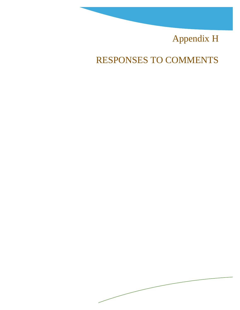# Appendix H

RESPONSES TO COMMENTS

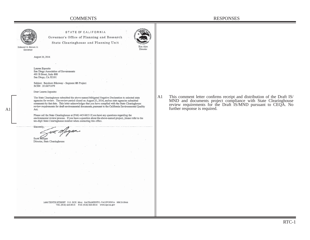

STATE OF CALIFORNIA

Governor's Office of Planning and Research State Clearinghouse and Planning Unit



Edmund G. Brown Jr. Governor

August 26, 2016

Lauren Esposito San Diego Association of Governments 401 B Street, Suite 800 San Diego, CA 92101

Subject: Bayshore Bikeway - Segment 8B Project SCH#: 2016071079

Dear Lauren Esposito:

The State Clearinghouse submitted the above named Mitigated Negative Declaration to selected state agencies for review. The review period closed on August 25, 2016, and no state agencies submitted comments by that date. This letter acknowledges that you have complied with the State Clearinghouse review requirements for draft environmental documents, pursuant to the California Environmental Ouality Act.

Please call the State Clearinghouse at (916) 445-0613 if you have any questions regarding the environmental review process. If you have a question about the above-named project, please refer to the ten-digit State Clearinghouse number when contacting this office.

Sincerely

Scott Morgan

Director, State Clearinghouse

A1 This comment letter confirms receipt and distribution of the Draft IS/ MND and documents project compliance with State Clearinghouse review requirements for the Draft IS/MND pursuant to CEQA. No further response is required.

1400 TENTH STREET P.O. BOX 3044 SACRAMENTO, CALIFORNIA 95812-3044 TEL (916) 445-0613 FAX (916) 323-3018 www.opr.ca.gov

RTC-1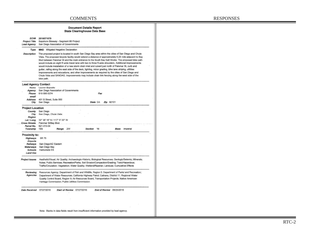| <b>Document Details Report</b>       |  |
|--------------------------------------|--|
| <b>State Clearinghouse Data Base</b> |  |

| <b>Project Title</b>       | Bayshore Bikeway - Segment 8B Project                                                                                                                                                                                                                                                                                                                                                                                                                                                                                                                                                                                                                                                                                                                                                                                                                                 |  |  |  |  |  |
|----------------------------|-----------------------------------------------------------------------------------------------------------------------------------------------------------------------------------------------------------------------------------------------------------------------------------------------------------------------------------------------------------------------------------------------------------------------------------------------------------------------------------------------------------------------------------------------------------------------------------------------------------------------------------------------------------------------------------------------------------------------------------------------------------------------------------------------------------------------------------------------------------------------|--|--|--|--|--|
| Lead Agency                | San Diego Association of Governments                                                                                                                                                                                                                                                                                                                                                                                                                                                                                                                                                                                                                                                                                                                                                                                                                                  |  |  |  |  |  |
| Type                       | <b>MND</b><br>Mitigated Negative Declaration                                                                                                                                                                                                                                                                                                                                                                                                                                                                                                                                                                                                                                                                                                                                                                                                                          |  |  |  |  |  |
| Description                | The proposed project is located in south San Diego Bay area within the cities of San Diego and Chula<br>Vista. The proposed bicycle facility would extend a distance of approximately 0.25 mile adjacent to Bay<br>Bivd between Palomar St and the main entrance to the South Bay Salt Works. The proposed bike path<br>would include an eight ft wide travel lane with two to three ft wide shoulders. Additional improvements<br>would include installation of a new storm drain inlet and culvert just north of Palomar St, curb and<br>gutter, railing along the east side of the deck, lighting, minor grading, bike lane striping, utilities<br>improvements and relocations, and other improvements as required by the cities of San Diego and<br>Chula Vista and SANDAG. Improvements may include chain link fencing along the west side of the<br>bike path. |  |  |  |  |  |
| <b>Lead Agency Contact</b> |                                                                                                                                                                                                                                                                                                                                                                                                                                                                                                                                                                                                                                                                                                                                                                                                                                                                       |  |  |  |  |  |
| Name                       | Lauren Esposito                                                                                                                                                                                                                                                                                                                                                                                                                                                                                                                                                                                                                                                                                                                                                                                                                                                       |  |  |  |  |  |
| Agency                     | San Diego Association of Governments                                                                                                                                                                                                                                                                                                                                                                                                                                                                                                                                                                                                                                                                                                                                                                                                                                  |  |  |  |  |  |
| Phone                      | 619 595-5374<br><b>Fax</b>                                                                                                                                                                                                                                                                                                                                                                                                                                                                                                                                                                                                                                                                                                                                                                                                                                            |  |  |  |  |  |
| email                      |                                                                                                                                                                                                                                                                                                                                                                                                                                                                                                                                                                                                                                                                                                                                                                                                                                                                       |  |  |  |  |  |
| Address                    | 401 B Street, Suite 800                                                                                                                                                                                                                                                                                                                                                                                                                                                                                                                                                                                                                                                                                                                                                                                                                                               |  |  |  |  |  |
| City                       | State CA<br>San Diego<br>Zip 92101                                                                                                                                                                                                                                                                                                                                                                                                                                                                                                                                                                                                                                                                                                                                                                                                                                    |  |  |  |  |  |
| <b>Project Location</b>    |                                                                                                                                                                                                                                                                                                                                                                                                                                                                                                                                                                                                                                                                                                                                                                                                                                                                       |  |  |  |  |  |
| County                     | San Diego                                                                                                                                                                                                                                                                                                                                                                                                                                                                                                                                                                                                                                                                                                                                                                                                                                                             |  |  |  |  |  |
| City                       | San Diego, Chula Vista                                                                                                                                                                                                                                                                                                                                                                                                                                                                                                                                                                                                                                                                                                                                                                                                                                                |  |  |  |  |  |
| Region                     |                                                                                                                                                                                                                                                                                                                                                                                                                                                                                                                                                                                                                                                                                                                                                                                                                                                                       |  |  |  |  |  |
| Lat / Long                 | 32° 36' 16" N / 117° 5' 33" W                                                                                                                                                                                                                                                                                                                                                                                                                                                                                                                                                                                                                                                                                                                                                                                                                                         |  |  |  |  |  |
| Cross Streets              | Palomar St/Bay Blvd                                                                                                                                                                                                                                                                                                                                                                                                                                                                                                                                                                                                                                                                                                                                                                                                                                                   |  |  |  |  |  |
| Parcel No.                 | 621-010-04                                                                                                                                                                                                                                                                                                                                                                                                                                                                                                                                                                                                                                                                                                                                                                                                                                                            |  |  |  |  |  |
| Township                   | <b>18S</b><br>:2W<br>Section<br>-16<br>Imperial<br>Range<br>Base                                                                                                                                                                                                                                                                                                                                                                                                                                                                                                                                                                                                                                                                                                                                                                                                      |  |  |  |  |  |
| Proximity to:              |                                                                                                                                                                                                                                                                                                                                                                                                                                                                                                                                                                                                                                                                                                                                                                                                                                                                       |  |  |  |  |  |
| Highways                   | SR 75                                                                                                                                                                                                                                                                                                                                                                                                                                                                                                                                                                                                                                                                                                                                                                                                                                                                 |  |  |  |  |  |
| Airports                   |                                                                                                                                                                                                                                                                                                                                                                                                                                                                                                                                                                                                                                                                                                                                                                                                                                                                       |  |  |  |  |  |
| Rallways                   | San Diego/AZ Eastern                                                                                                                                                                                                                                                                                                                                                                                                                                                                                                                                                                                                                                                                                                                                                                                                                                                  |  |  |  |  |  |
| Waterways                  | San Diego Bay                                                                                                                                                                                                                                                                                                                                                                                                                                                                                                                                                                                                                                                                                                                                                                                                                                                         |  |  |  |  |  |
| Schools                    | Harborside ES                                                                                                                                                                                                                                                                                                                                                                                                                                                                                                                                                                                                                                                                                                                                                                                                                                                         |  |  |  |  |  |
| Land Use                   |                                                                                                                                                                                                                                                                                                                                                                                                                                                                                                                                                                                                                                                                                                                                                                                                                                                                       |  |  |  |  |  |
| Project Issues             | Aesthetic/Visual: Air Quality: Archaeologic-Historic: Biological Resources; Geologic/Seismic: Minerals:<br>Noise; Public Services; Recreation/Parks; Soil Erosion/Compaction/Grading; Toxic/Hazardous;<br>Traffic/Circulation: Vegetation: Water Quality: Wetland/Riparian: Landuse: Cumulative Effects                                                                                                                                                                                                                                                                                                                                                                                                                                                                                                                                                               |  |  |  |  |  |
| Reviewing<br>Agencies      | Resources Agency; Department of Fish and Wildlife, Region 5; Department of Parks and Recreation;<br>Department of Water Resources; California Highway Patrol; Caltrans, District 11; Regional Water<br>Quality Control Board, Region 9; Air Resources Board, Transportation Projects; Native American<br>Heritage Commission; Public Utilities Commission                                                                                                                                                                                                                                                                                                                                                                                                                                                                                                             |  |  |  |  |  |
|                            | Date Received<br>07/27/2016<br>Start of Review 07/27/2016<br>End of Review 08/25/2016                                                                                                                                                                                                                                                                                                                                                                                                                                                                                                                                                                                                                                                                                                                                                                                 |  |  |  |  |  |

Note: Blanks in data fields result from insufficient information provided by lead agency.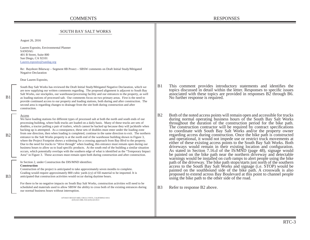## COMMENTS RESPONSES

### SOUTH BAY SALT WORKS

August 26, 2016

Lauren Esposito, Environmental Planner SANDAG 401 B Street, Suite 800 San Diego, CA 92101 Lauren.esposito@sandag.org

Re: Bayshore Bikeway – Segment 8B Proect – SBSW comments on Draft Initial Study/Mitigated Negative Declaration

Dear Lauren Esposito,

South Bay Salt Works has reviewed the Draft Initial Study/Mitigated Negative Declaration, which we are now supplying our written comments regarding. The proposed alignment is adjacent to South Bay Salt Works, our stockpiles, our warehouse/processing facility and our entrances to the property, as well as loading stations of processed salt. Our comments focus on two primary areas. First is the need to provide continued access to our property and loading stations, both during and after construction. The second area is regarding changes to drainage from the site both during construction and after construction.

#### Access

 $B<sub>1</sub>$ 

 $B<sub>2</sub>$ 

B3

We have loading stations for different types of processed salt at both the north and south ends of our processing building, where bulk trucks are loaded on a daily basis. Many of these trucks are sets of doubles, a tractor pulling a pair of trailers, which cannot be backed up because they will jackknife when backing up is attempted. As a consequence, these sets of doubles must enter under the loading zone from one direction, then when loading is completed, continue in the same direction to exit. The northern entrance to the Salt Works property is at the north end of the warehouse building shown in Figure 3, where the Project Footprint shows a widening for a crossing approach from Bay Blvd to the property. Due to the need for trucks to "drive through" when loading, this entrance must remain open during our business hours to allow us to load specific products. At the south end of the building a similar situation occurs, which potentially overlaps with the southern edge of what is identified as the "Temporary Impact Area" in Figure 3. These accesses must remain open both during construction and after construction.

In Section 2, under Construction the DIS/MND identifies: **Construction** 

Construction of the project is anticipated to take approximately seven months to complete. Grading would require approximately 800 cubic yards (cy) of fill material to be imported. It is anticipated that construction activities would occur during daytime hours.

For there to be no negative impacts on South Bay Salt Works, construction activities will need to be scheduled and materials used to allow SBSW the ability to cross both of the existing entrances during our normal business hours without interruption.

> 1470 BAY BOULEVARD, CHULA VISTA, CALIFORNIA 91911 (619) 423-3388, FAX (619) 423-0513

- B1 This comment provides introductory statements and identifies the topics discussed in detail within the letter. Responses to speci fi c issues associated with these topics are provided in responses B2 through B6. No further response is required.
- B2 Both of the noted access points will remain open and accessible for trucks during normal operating business hours of the South Bay Salt Works throughout the duration of the construction period for the bike path. The construction contractor will be required by contract specifications to coordinate with South Bay Salt Works and/or the property owner regarding access during construction. Once the bike path is constructed and operational, it would not impede use or restrict truck movements at either of these existing access points to the South Bay Salt Works. Both driveways would remain in their existing location and con fi guration. As stated in Section 7.16.d of the IS/MND (page 48), signage would be painted on the bike path near the northern driveway and detectable warnings would be installed on curb ramps to alert people using the bike path of the driveway. The bike path stops/starts just north of the southern access to the South Bay Salt Works and signage (i.e. STOP) would be painted on the southbound side of the bike path. A crosswalk is also proposed to extend across Bay Boulevard at this point to channel people using the bike path to the other side of the road.
- B3 Refer to response B2 above.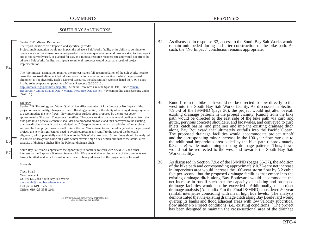overtop its banks and flood adjacent areas with low velocity subcritical flow under No Project conditions (i.e., existing conditions). The project has been designed to maintain the cross-sectional area of the drainage

| <b>SOUTH BAY SALT WORKS</b> |                                                                                                                                                                                                                                                                                                                                                                                                                                                                                                                                                                                                                                                                                                                                                                                                                                                                                                                                                                                                                                                                                                                                                             |                |                                                                                                                                                                                                                                                                                                                                                                                                                                                                                                                                                                                                                                                                                                                                                                                                                                    |
|-----------------------------|-------------------------------------------------------------------------------------------------------------------------------------------------------------------------------------------------------------------------------------------------------------------------------------------------------------------------------------------------------------------------------------------------------------------------------------------------------------------------------------------------------------------------------------------------------------------------------------------------------------------------------------------------------------------------------------------------------------------------------------------------------------------------------------------------------------------------------------------------------------------------------------------------------------------------------------------------------------------------------------------------------------------------------------------------------------------------------------------------------------------------------------------------------------|----------------|------------------------------------------------------------------------------------------------------------------------------------------------------------------------------------------------------------------------------------------------------------------------------------------------------------------------------------------------------------------------------------------------------------------------------------------------------------------------------------------------------------------------------------------------------------------------------------------------------------------------------------------------------------------------------------------------------------------------------------------------------------------------------------------------------------------------------------|
| B4                          | Section 7-11 Mineral Resources<br>The report identifies "No Impact", and specifically reads:<br>Project implementation would not impact the adjacent Salt Works facility or its ability to continue to<br>operate as an active mineral resource operation that is a unique local mineral resource site. As the project<br>site is not currently used, or planned for use, as a mineral resource recovery site and would not affect the<br>adjacent Salt Works facility, no impacts to mineral resources would occur as a result of project<br>implementation.<br>The "No Impact" designation requires the project makes full accommodation of the Salt Works need to                                                                                                                                                                                                                                                                                                                                                                                                                                                                                        | <b>B</b> 4     | As discussed in response B2, access to the South Bay Salt Works would<br>remain unimpeded during and after construction of the bike path. As<br>such, the "No Impact" conclusion remains appropriate.                                                                                                                                                                                                                                                                                                                                                                                                                                                                                                                                                                                                                              |
|                             | cross the proposed alignment both during construction and after construction. While the proposed<br>alignment is not physically itself a Mineral Resource, the adjacent Salt works is listed the USGS does<br>list the solar evaporation ponds as a Mineral Resource (8/26/2016 at<br>http://mrdata.usgs.gov/mrds/map.html Mineral Resources On-Line Spatial Data, under Mineral<br>Resources > Online Spatial Data > Mineral Resource Data System > by commodity and searching under<br>" $SALT"$ ).                                                                                                                                                                                                                                                                                                                                                                                                                                                                                                                                                                                                                                                       |                |                                                                                                                                                                                                                                                                                                                                                                                                                                                                                                                                                                                                                                                                                                                                                                                                                                    |
| B <sub>5</sub><br><b>B6</b> | Drainage<br>Section 7.9 "Hydrology and Water Quality" identifies a number of Low Impact or No Impact of the<br>project on water quality, changes to runoff, flooding potential, or the ability of existing drainage systems<br>to accommodate the new flows. New impervious surface areas proposed by the project cover<br>approximately .32 acres. The project identifies: "Post-construction drainage would be directed from the<br>bike path into a pervious concrete shoulder or a proposed bioswale and then conveyed to the existing<br>drainage ditches via catch basins and pipelines." Despite the relatively small addition of impervious<br>surface, the total project area is small. Since the Salt Works inventories the salt adjacent to the proposed<br>project, the new design features need to avoid redirecting any runoff to the west of the bikepath<br>alignment, which potentially could flow onto the Salt Works next door. Storm flows should be analyzed<br>in context of heavy rain coinciding with winter extreme high tides, which diminishes the assimilative<br>capacity of drainage ditches like the Palomar drainage ditch. | B <sub>5</sub> | Runoff from the bike path would not be directed to flow directly to the<br>west into the South Bay Salt Works facility. As discussed in Section<br>7.9.c-d of the IS/MND (page 36), the project would not alter overall<br>existing drainage patterns in the project vicinity. Runoff from the bike<br>path would be directed to the east side of the bike path via curb and<br>gutter, pervious concrete shoulders, and bioswales, and conveyed to curb<br>inlets, catch basins, and pipelines and into the existing drainage ditch<br>along Bay Boulevard that ultimately outfalls into the Pacific Ocean.<br>The proposed drainage facilities would accommodate project runoff<br>and the corresponding minor increase in the 100-year flow rate due to<br>the additional impervious area added by the bike path (approximately |
| B7                          | South Bay Salt Works appreciates the opportunity to continue to work with SANDAG and other<br>interests on the Bayshore Bikeway Segment 8B. We are available to discuss any of the comments we<br>have submitted, and look forward to our concerns being addressed as the project moves forward.                                                                                                                                                                                                                                                                                                                                                                                                                                                                                                                                                                                                                                                                                                                                                                                                                                                            |                | 0.32 acre) while maintaining existing drainage patterns. Thus, flows<br>would not be redirected to the west and towards the South Bay Salt<br>Works facility.                                                                                                                                                                                                                                                                                                                                                                                                                                                                                                                                                                                                                                                                      |
|                             | Sincerely,                                                                                                                                                                                                                                                                                                                                                                                                                                                                                                                                                                                                                                                                                                                                                                                                                                                                                                                                                                                                                                                                                                                                                  | B <sub>6</sub> | As discussed in Section 7.9.e of the IS/MND (pages 36-37), the addition<br>of the bike path and corresponding approximately 0.32-acre net increase                                                                                                                                                                                                                                                                                                                                                                                                                                                                                                                                                                                                                                                                                 |
|                             | <b>Tracy Strahl</b><br>Vice President<br>GGTW LLC dba South Bay Salt Works<br>tracy.strahl@southbaysaltworks.com<br>Cell phone 619 917-5018<br>Office: 619 423-3388 x101<br>1470 BAY BOULEVARD, CHULA VISTA, CALIFORNIA 91911                                                                                                                                                                                                                                                                                                                                                                                                                                                                                                                                                                                                                                                                                                                                                                                                                                                                                                                               |                | in impervious area would increase the 100-year storm flow by 3.2 cubic<br>feet per second, but the proposed drainage facilities that empty into the<br>existing drainage ditch along Bay Boulevard would accommodate the<br>net increase in runoff such that the capacity of existing and proposed<br>drainage facilities would not be exceeded. Additionally, the project<br>drainage analysis (Appendix F in the Final IS/MND) considered 50-year<br>rainfall intensities coinciding with mean high tide levels. The analysis<br>demonstrated that the existing drainage ditch along Bay Boulevard would                                                                                                                                                                                                                         |

1470 BAY BOULEVARD, CHULA VISTA, CALIFORNIA 91911 (619) 423-3388, FAX (619) 423-0513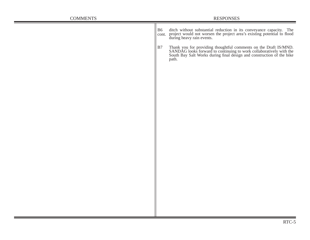| <b>COMMENTS</b> | <b>RESPONSES</b>                                                                                                                                                                                                                |  |
|-----------------|---------------------------------------------------------------------------------------------------------------------------------------------------------------------------------------------------------------------------------|--|
|                 | B6 ditch without substantial reduction in its conveyance capacity. The cont. project would not worsen the project area's existing potential to flood during heavy rain events.                                                  |  |
|                 | B7<br>Thank you for providing thoughtful comments on the Draft IS/MND.<br>SANDAG looks forward to continuing to work collaboratively with the<br>South Bay Salt Works during final design and construction of the bike<br>path. |  |
|                 |                                                                                                                                                                                                                                 |  |
|                 |                                                                                                                                                                                                                                 |  |
|                 |                                                                                                                                                                                                                                 |  |
|                 |                                                                                                                                                                                                                                 |  |
|                 |                                                                                                                                                                                                                                 |  |
|                 |                                                                                                                                                                                                                                 |  |
|                 |                                                                                                                                                                                                                                 |  |
|                 |                                                                                                                                                                                                                                 |  |